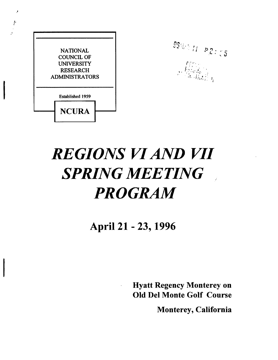| <b>NATIONAL</b>       |                         |  |
|-----------------------|-------------------------|--|
| <b>COUNCIL OF</b>     |                         |  |
| <b>UNIVERSITY</b>     |                         |  |
| <b>RESEARCH</b>       |                         |  |
| <b>ADMINISTRATORS</b> |                         |  |
|                       | <b>Established 1959</b> |  |
|                       | <b>NCURA</b>            |  |

r,

 $\pmb{\mathcal{J}}$ 



# *REGIONS VI AND VII SPRING MEETING PROGRAM*

Apri121 - 23, 1996

 $\overline{\phantom{a}}$ 

Hyatt Regency Monterey on Old Del Monte Golf Course

Monterey, California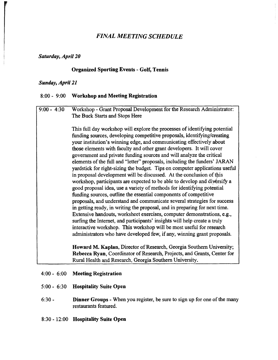# *FINAL MEETING SCHEDULE*

#### *Saturday, April 20*

#### **Organized Sporting Events -Golf, Tennis**

#### *Sunday, April 21*

#### **8:00 - 9:00 Workshop and Meeting Registration**

# 9:00 - 4:30 Workshop -Grant Proposal Development for the Reseazch Administrator: The Buck Starts and Stops Here This full day workshop will explore the processes of identifying potential funding sources, developing competitive proposals, identifying/creating your institution's winning edge, and communicating effectively about those elements with faculty and other grant developers. It will cover government and private funding sources and will analyze the critical elements of the full and "letter" proposals, including the funders' JARAN yardstick for right-sizing the budget. Tips on computer applications useful in proposal development will be discussed. At the conclusion of this workshop, participants are expected to be able to develop and diversify a good proposal idea, use a variety of methods for identifying potential funding sources, outline the essential components of competitive proposals, and understand and communicate several strategies for success in getting ready, in writing the proposal, and in prepazing for next time. Extensive handouts, worksheet exercises, computer demonstrations, e.g., surfing the Internet, and participants' insights will help create a truly interactive workshop. This workshop will be most useful for research administrators who have developed few, if any, winning grant proposals. **Howard M. Kaplan,** Director of Research, Georgia Southern University; **Rebecca Ryan,** Coordinator of Research, Projects, and Grants, Center for Rural Health and Research, Georgia Southern University.

- 4:00 6:00 **Meeting Registration**
- 5:00 6:30 **Hospitality Suite Open**
- 6:30 **Dinner Groups** -When you register, be sure to sign up for one of the many restaurants featured.
- 8:30 12:00 **Hospitality Suite Open**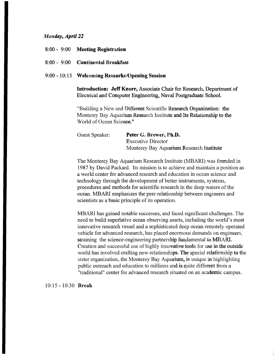#### *tl~anday, April 22*

- 8:00 9:00 Meeting Registration
- 8:00 9:00 Continental Breakfast

#### 9:00 - 10:15 Welcoming Remarks/Opening Session

Introduction: Jeff Knorr, Associate Chair for Research, Department of Electrical and Computer Engineering, Naval Postgraduate School.

"Building a New and Different Scientific Research Organization: the Monterey Bay Aquarium Research Institute and Its Relationship to the World of Ocean Science."

| Guest Speaker: | Peter G. Brewer, Ph.D.                   |
|----------------|------------------------------------------|
|                | <b>Executive Director</b>                |
|                | Monterey Bay Aquarium Research Institute |

The Monterey Bay Aquarium Research Institute {MBARI) was founded in 1987 by David Packard. Its mission is to achieve and maintain a position as a world center for advanced research and education in ocean science and technology through the development of better instruments, systems, procedures and methods for scientific research in the deep waters of the ocean. MBARI emphasizes the peer relationship between engineers and scientists as a basic principle of its operation.

MBARI has gained notable successes, and faced significant challenges. The need to build superlative ocean observing assets, including the world's most innovative research vessel and a sophisticated deep ocean remotely operated vehicle for advanced research, has placed enormous demands on engineers, straining the science-engineering partnership fundamental to MBARI. Creation and successful use of highly innovative tools for use in the outside world has involved crafting new relationships. The special relationship to the sister organization, the Monterey Bay Aquarium, is unique in highlighting public outreach and education to millions and is quite different from a "traditional" center for advanced research situated on an academic campus.

10:15 - 10:30 Break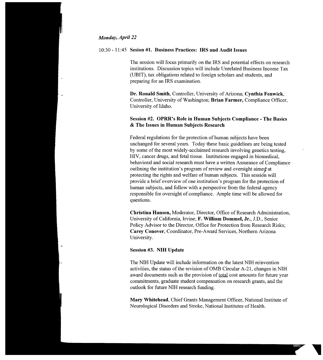#### *Monday, April ZZ*

# 10:30 - 11:45 Sesion #1. Business Practices: IRS and Audit Issues

The session will focus primarily on the IRS and potential effects on research institutions. Discussion topics will include Unrelated Business Income Tax CUBIT), tax obligations related to foreign scholars and students, and preparing for an IRS examination.

Dr. Ronald Smith, Controller, University of Arizona; Cynthia Fenwick, Controller, University of Washington; Brian Farmer, Compliance Officer, University of Idaho.

# Session #2. OPRR's Role in Human Subjects Compliance - The Basics & The Issues in Human Subjects Research

Federal regulations for the protection of human subjects have been unchanged for several years. Today these basic guidelines are being tested by some of the most widely-acclaimed research involving genetics testing, HIV, cancer drugs, and fetal tissue. Institutions engaged,in biomedical, behavioral and social research must have a written Assurance of Compliance outlining the institution's program of review and oversight aimed at protecting the rights and welfare of human subjects. This session will provide a brief overview of one institution's program for the protection of human subjects, and follow with a perspective from the federal agency responsible for oversight of compliance. Ample time will be allowed for questions.

Christina Hansen, Moderator, Director, Office of Research Administration, University of California, Irvine; F. William Dommel, Jr., J.D., Senior Policy Advisor to the Director, Office for Protection from Research Risks; Carey Conover, Coordinator, Pre-Award Services, Northern Arizona University.

#### Session #3. NIH Update

The NIH Update will include information on the latest NIH reinvention activities, the status of the revision of OMB Circular A-21, changes in NIH award documents such as the provision of total cost amounts for future year commitments, graduate student compensation on research grants, and the outlook for future NIH research funding.

Mary Whitehead, Chief Grants Management Officer, National Institute of Neurological Disorders and Stroke, National Institutes of Health.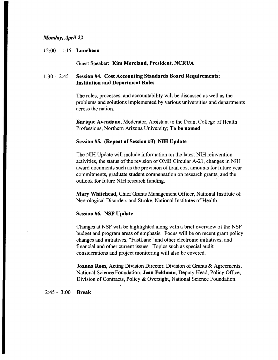# *Monday, April 22*

#### 12:00 - 1:15 **Luncheon**

Guest Speaker: **Kim Moreland, President, NCRUA** 

# 1:30 - 2:45 **Session #4. Cost Accounting Standards Board Requirements: Institution and Department Roles**

The roles, processes, and accountability will be discussed as well as the problems and solutions implemented by various universities and departments across the nation.

**Enrique Avendano,** Moderator, Assistant to the Dean, College of Health Professions, Northern Arizona University; **To be named** 

#### **Session #5. (Repeat of Session #3) NIH Update**

The NIH Update will include information on the latest NIH reinvention activities, the status of the revision of OMB Circular A-21, changes in NIH award documents such as the provision of total cost amounts for future year commitments, graduate student compensation on research grants; and the outlook for future NIH research funding.

**Mary Whitehead,** Chief Grants Management Officer, National Institute of Neurological Disorders and Stroke, National Institutes of Health.

#### **Session #6. NSF Update**

Changes at NSF will be highlighted along with a brief overview of the NSF budget and program areas of emphasis. Focus will be on recent grant policy changes and initiatives, "FastLane" and other electronic initiatives, and financial and other current issues. Topics such as special audit considerations and project monitoring will also be covered.

**Joanna Rom, Acting Division Director, Division of Grants & Agreements,** National Science Foundation; **Jean Feldman,** Deputy Head, Policy Office, Division of Contracts, Policy & Oversight, National Science Foundation.

#### 2:45 - 3:00 **Break**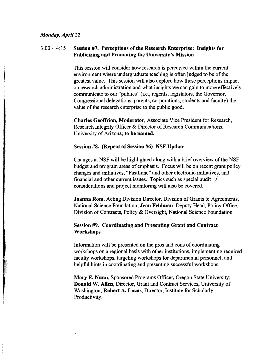# 3:00 - 4:15 Session #7. Perceptions of the Research Enterprise: Insights for Publicizing and Promoting the University's Mission

This session will consider how research is perceived within the current environment where undergraduate teaching is often judged to be of the greatest value. This session will also explore how these perceptions impact on research administration and what insights we can gain to more effectively communicate to our "publics" (i.e., regents, legislators, the Governor, Congressional delegations, parents, corporations, students and faculty) the value of the research enterprise to the public good.

Charles Geoffrion, Moderator, Associate Vice President for Research, Research Integrity Officer & Director of Research Communications, University of Arizona; to be named.

#### Session #8. (Repeat of Session #6) NSF Update

Changes at NSF will be highlighted along with a brief overview of the NSF budget and program areas of emphasis. Focus will be on recent grant policy changes and initiatives, "FastLane" and other electronic initiatives, and , financial and other current issues. Topics such as special audit  $\frac{1}{x}$ considerations and project monitoring will also be covered.

Joanna Rom, Acting Division Director, Division of Grants & Agreements, National Science Foundation; Jean Feldman, Deputy Head, Policy Office, Division of Contracts, Policy & Oversight, National Science Foundation.

# Session #9. Coordinating and Presenting Grant and Contract **Workshops**

Information will be presented on the pros and cons of coordinating workshops on a regional basis with other institutions, implementing required faculty workshops, targeting workshops for departmental personnel, and helpful hints in coordinating and presenting successful workshops.

Mary E. Nunn, Sponsored Programs Officer, Oregon State University; Donald W. Allen, Director, Grant and Contract Services, University of Washington; Robert A. Lucas, Director, Institute for Scholarly Productivity.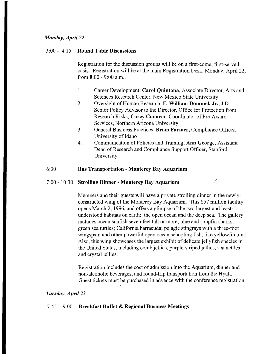# *Monday, April 22*

#### 3:00 - 4:15 Round Table Discussions

Registration for the discussion groups will be on a first-come, first-served basis. Registration will be at the main Registration Desk, Monday, April 22, from 8:00 - 9:00 a.m..

- 1. Career Development, Carol Quintana, Associate Director, Arts and Sciences Research Center, New Mexico State University
- 2. Oversight of Human Research, F. William Dommel, Jr., J.D., Senior Policy Advisor to the Director, Office for Protection from Research Risks; Carey Conover, Coordinator of Pre-Award Services, Northern Arizona University
- 3. General Business Practices, Brian Farmer, Compliance Officer, University of Idaho
- 4. Communication of Policies and Training, Ann George, Assistant Dean of Research and Compliance Support Officer, Stanford University.

### 6:30 Bus Transportation - Monterey Bay Aquarium

#### 7:00 - 10:30 Strolling Dinner - Monterey Bay Aquarium

Members and their guests will have a private strolling dinner in the newlyconstructed wing of the Monterey Bay Aquarium. This \$57 million facility opens March 2, *1996,* and offers a glimpse of the two largest and leastunderstood habitats on earth: the open ocean and the deep sea. The gallery includes ocean sunfish seven feet tall or more; blue and soupfin sharks; green sea turtles; California barracuda; pelagic stingrays with athree-foot wingspan; and other powerful open ocean schooling fish, like yellowfin tuna. Also, this wing showcases the largest exhibit of delicate jellyfish species in the United States, including comb jellies, purple-striped jellies, sea nettles and crystal jellies.

Registration includes the cost of admission into the Aquarium, dinner and non-alcoholic beverages, and round-trip transportation from the Hyatt. Guest tickets must be purchased in advance with the conference registration.

#### *Tuesday, Apri123*

#### 7:45 - 9:00 Breakfast Buffet & Regional Business Meetings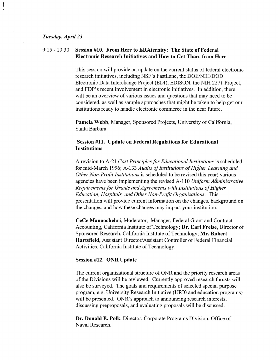#### *Tuesday, April 23*

# 9:15 - 14:34 **Session #10. From Here to ERAternity: The State of Federal Electronic Research Initiatives and How to Get There from Here**

This session will provide an update on the current status of federal electronic research initiatives, including NSF's FastLane, the DOE/NIH/DOD Electronic, Data Interchange Project (EDI), EDISON, the NIH 2271 Project, and FDP's recent involvement in electronic initiatives. In addition, there will be an overview of various issues and questions that may need to be considered, as well as sample approaches that might be taken to help get our institutions ready to handle electronic commerce in the near future.

**Pamela Webb,** Manager, Sponsored Projects, University of California, Santa Barbara.

# **Session #11. Update on Federal Regulations for Educational Institutions**

A revision to A-21 *Cost Principles for Educational Institutions is* scheduled for mid-March 1996; A-133 *Audits of Institutions of Higher Learning and Other Non-Profit Institutions* is scheduled to be revised this year; various agencies have been implementing the revised A-110 *Uniform Administrative Requirements for Grants and Agreements with Institutions of Higher Education, Hospitals, and Other Non-Profit Organizations.* This presentation will provide current information on the changes, background on the changes, and how these changes may impact your institution.

**CeCe Manoochehri,** Moderator, Manager, Federal Grant and Contract Accounting, California Institute of Technology; **Dr. Earl Freise,** Director of Sponsored Research, California Institute of Technology; **Mr. Robert Hartsfield,** Assistant Director/Assistant Controller of Federal Financial Activities, California Institute of Technology.

#### **Session #12. ONR Update**

The current organizational structure of ONR and the priority research areas of the Divisions will be reviewed. Currently approved research thrusts will also be surveyed. The goals and requirements of selected special purpose program, e.g. University Research Initiative (URI0 and education programs) will be presented. **ONR's** approach to announcing research interests, discussing preproposais, and evaluating proposals will be discussed.

**Dr. Donald E. Polk,** Director, Corporate Programs Division, Office of Naval Research.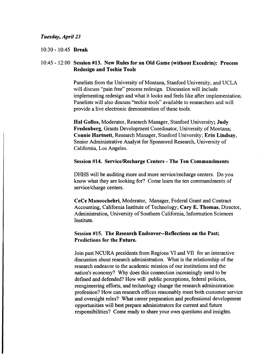#### *Tuesday, April 23*

#### 10:30 - 10:45 **Break**

# 10:45 - 12:00 **Session #13. New Rules for an Old Game {without Excedrin): Process Redesign and Techie Tools**

Panelists from the University of Montana, Stanford University, and UCLA will discuss "pain free" process redesign. Discussion will include implementing redesign and what it looks and feels like after implementation. Panelists will also discuss "techie tools" available to researchers and will provide a live electronic demonstration of these tools.

**Hal Gollos,** Moderator, Research Manager, Stanford University; **Judy Fredenberg,** Grants Development Coordinator, University of Montana; **Connie Hartnett,** Research Manager, Stanford University; **Erin Lindsay,**  Senior Administrative Analyst for Sponsored Research, University of California, Los Angeles.

#### **Session #14. Service/Recharge Centers -The Ten Commandments**

DHHS will be auditing more and more service/recharge centers. Do you know what they are looking for? Come learn the ten commandments of service/charge centers.

**CeCe Manoochehri,** Moderator, Manager, Federal Grant and Contract Accounting, California Institute of Technology; **Cary E. Thomas,** Director, Administration, University of Southern California, Information Sciences Institute.

# **Session #15. The Research Endeavor**--**Reflections on the Past; Predictions for the Future.**

Join past NCURA presidents from Regions VI and VII for an interactive discussion about research administration. What is the relationship of the research endeavor to the academic mission of our institutions and the nation's economy? Why does this connection increasingly need to be defined and defended? How will public perceptions, federal policies, reengineering efforts, and technology change the research administration profession? How can research offices reasonably meet both customer service and oversight roles? What career preparation and professional development opportunities will best prepare administrators for current and future responsibilities? Come ready to share your own questions and insights.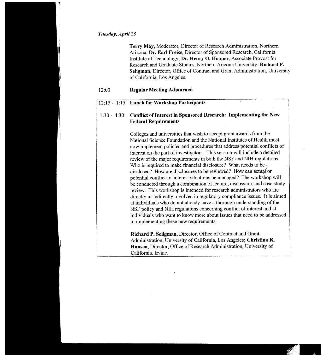#### *Tuesday, April 23*

Terry May, Moderator, Director of Research Administration, Northern Arizona; Dr. Earl Freise, Director of Sponsored Research, California Institute of Technology; Dr. Henry O. Hooper, Associate Provost for Research and Graduate Studies, Northern Arizona University; Richard P. Seligman, Director, Office of Contract and Grant Administration, University of California, Los Angeles.

## 12:00 Regular Meeting Adjourned

#### $12:15 - 1:15$  Lunch for Workshop Participants

# 1:30 - 4:30 Conflict of Interest in Sponsored Research: Implementing the New Federal Requirements

Colleges and universities that wish to accept grant awards from the National Science Foundation and the National Institutes of Health must now implement policies and procedures that address potential conflicts of interest on the part of investigators. This session will include a detailed review of the major requirements in both the NSF and NIH regulations. Who is required to make financial disclosure? What needs to be disclosed? How are disclosures to be reviewed? How can actual or potential conflict-of-interest situations be managed? The workshop will be conducted through a combination of lecture, discussion, and case study review. This workshop is intended for research administrators who are directly or indirectly involved in regulatory compliance issues. It is aimed at individuals who do not already have a thorough understanding of the NSF policy and NIH regulations concerning conflict of interest and at individuals who want to know more about issues that need to be addressed in implementing these new requirements.

Richard P. Seligman, Director, Office of Contract and Grant Administration, University of California, Los Angeles; Christina K. Hansen, Director, Office of Research Administration; University of California, Irvine.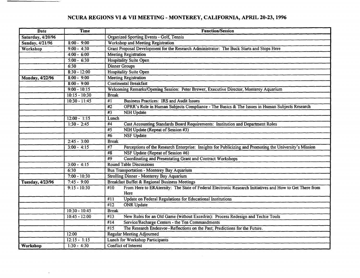# **NCURA REGIONS** VI **&VII MEETING** - **MONTEREY, CALIFORNIA, APRIL** 20-23, 1996

| Date                     | <b>Time</b>     | <b>Function/Session</b>                                                                                                     |  |
|--------------------------|-----------------|-----------------------------------------------------------------------------------------------------------------------------|--|
| Saturday, 4/20/96        |                 | <b>Organized Sporting Events - Golf, Tennis</b>                                                                             |  |
| Sunday, 4/21/96          | $8:00 - 9:00$   | Workshop and Meeting Registration                                                                                           |  |
| Workshop                 | $9:00 - 4:30$   | Grant Proposal Development for the Research Administrator: The Buck Starts and Stops Here                                   |  |
|                          | $4:00 - 6:00$   | <b>Meeting Registration</b>                                                                                                 |  |
|                          | $5:00 - 6:30$   | <b>Hospitality Suite Open</b>                                                                                               |  |
|                          | 6:30            | <b>Dinner Groups</b>                                                                                                        |  |
|                          | $8:30 - 12:00$  | <b>Hospitality Suite Open</b>                                                                                               |  |
| Monday, 4/22/96          | $8:00 - 9:00$   | <b>Meeting Registration</b>                                                                                                 |  |
|                          | $8:00 - 9:00$   | <b>Continental Breakfast</b>                                                                                                |  |
|                          | $9:00 - 10:15$  | Welcoming Remarks/Opening Session: Peter Brewer, Executive Director, Monterey Aquarium                                      |  |
|                          | $10:15 - 10:30$ | <b>Break</b>                                                                                                                |  |
|                          | $10:30 - 11:45$ | $\overline{H}$<br><b>Business Practices: IRS and Audit Issues</b>                                                           |  |
|                          |                 | $\overline{42}$<br>OPRR's Role in Human Subjects Compliance - The Basics & The Issues in Human Subjects Research            |  |
|                          |                 | $\overline{43}$<br><b>NIH Update</b>                                                                                        |  |
|                          | $12:00 - 1:15$  | Lunch                                                                                                                       |  |
|                          | $1:30 - 2:45$   | #4<br>Cost Accounting Standards Board Requirements: Institution and Department Roles                                        |  |
|                          |                 | #5<br>NIH Update (Repeat of Session #3)                                                                                     |  |
|                          |                 | #6<br><b>NSF Update</b>                                                                                                     |  |
|                          | $2:45 - 3:00$   | <b>Break</b>                                                                                                                |  |
|                          | $3:00 - 4:15$   | $\overline{17}$<br>Perceptions of the Research Enterprise: Insights for Publicizing and Promoting the University's Mission  |  |
|                          |                 | NSF Update (Repeat of Session #6)<br>#8                                                                                     |  |
|                          |                 | Coordinating and Presentating Grant and Contract Workshops<br>#9                                                            |  |
|                          | $3:00 - 4:15$   | <b>Round Table Discussions</b>                                                                                              |  |
|                          | 6:30            | <b>Bus Transportation - Monterey Bay Aquarium</b>                                                                           |  |
|                          | $7:00 - 10:30$  | <b>Strolling Dinner - Monterey Bay Aquarium</b>                                                                             |  |
| <b>Tuesday</b> , 4/23/96 | $7:45 - 9:00$   | <b>Breakfast Buffet &amp; Regional Business Meetings</b>                                                                    |  |
|                          | $9:15 - 10:30$  | From Here to ERAternity: The State of Federal Electronic Research Initiatives and How to Get There from<br>$\overline{410}$ |  |
|                          |                 | Here                                                                                                                        |  |
|                          |                 | Update on Federal Regulations for Educational Institutions<br>$\overline{411}$                                              |  |
|                          |                 | <b>ONR</b> Update<br>$\overline{412}$                                                                                       |  |
|                          | $10:30 - 10:45$ | <b>Break</b>                                                                                                                |  |
|                          | $10:45 - 12:00$ | New Rules for an Old Game (without Excedrin): Process Redesign and Techie Tools<br>$\sqrt[4]{13}$                           |  |
|                          |                 | Service/Recharge Centers - the Ten Commandments<br>#14                                                                      |  |
|                          |                 | $\overline{415}$<br>The Research Endeavor--Reflections on the Past; Predictions for the Future.                             |  |
|                          | 12:00           | <b>Regular Meeting Adjourned</b>                                                                                            |  |
|                          | $12:15 - 1:15$  | <b>Lunch for Workshop Participants</b>                                                                                      |  |
| Workshop                 | $1:30 - 4:30$   | Conflict of Interest                                                                                                        |  |

 $\ddot{\phantom{a}}$